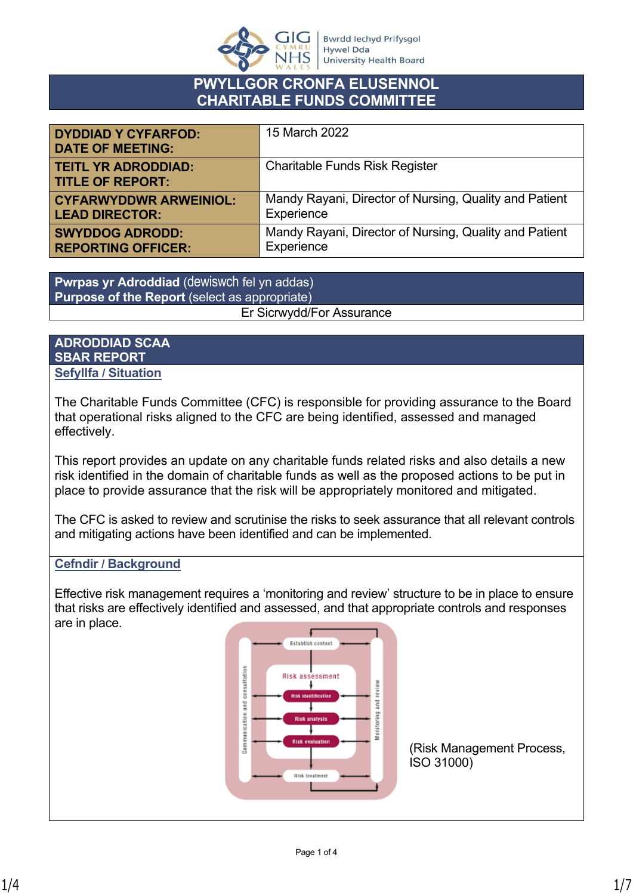

# **PWYLLGOR CRONFA ELUSENNOL CHARITABLE FUNDS COMMITTEE**

| <b>DYDDIAD Y CYFARFOD:</b><br><b>DATE OF MEETING:</b> | 15 March 2022                                          |
|-------------------------------------------------------|--------------------------------------------------------|
| <b>TEITL YR ADRODDIAD:</b><br><b>TITLE OF REPORT:</b> | <b>Charitable Funds Risk Register</b>                  |
| <b>CYFARWYDDWR ARWEINIOL:</b>                         | Mandy Rayani, Director of Nursing, Quality and Patient |
| <b>LEAD DIRECTOR:</b>                                 | Experience                                             |
| <b>SWYDDOG ADRODD:</b>                                | Mandy Rayani, Director of Nursing, Quality and Patient |
| <b>REPORTING OFFICER:</b>                             | Experience                                             |

**Pwrpas yr Adroddiad** (dewiswch fel yn addas) **Purpose of the Report** (select as appropriate) Er Sicrwydd/For Assurance

## **ADRODDIAD SCAA SBAR REPORT Sefyllfa / Situation**

The Charitable Funds Committee (CFC) is responsible for providing assurance to the Board that operational risks aligned to the CFC are being identified, assessed and managed effectively.

This report provides an update on any charitable funds related risks and also details a new risk identified in the domain of charitable funds as well as the proposed actions to be put in place to provide assurance that the risk will be appropriately monitored and mitigated.

The CFC is asked to review and scrutinise the risks to seek assurance that all relevant controls and mitigating actions have been identified and can be implemented.

## **Cefndir / Background**

Effective risk management requires a 'monitoring and review' structure to be in place to ensure that risks are effectively identified and assessed, and that appropriate controls and responses are in place.

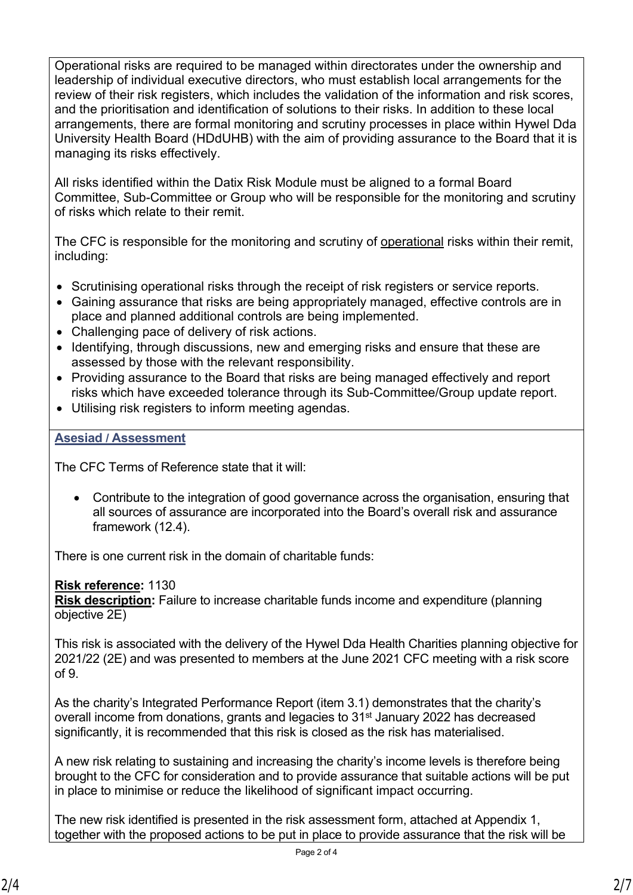Operational risks are required to be managed within directorates under the ownership and leadership of individual executive directors, who must establish local arrangements for the review of their risk registers, which includes the validation of the information and risk scores, and the prioritisation and identification of solutions to their risks. In addition to these local arrangements, there are formal monitoring and scrutiny processes in place within Hywel Dda University Health Board (HDdUHB) with the aim of providing assurance to the Board that it is managing its risks effectively.

All risks identified within the Datix Risk Module must be aligned to a formal Board Committee, Sub-Committee or Group who will be responsible for the monitoring and scrutiny of risks which relate to their remit.

The CFC is responsible for the monitoring and scrutiny of operational risks within their remit, including:

- Scrutinising operational risks through the receipt of risk registers or service reports.
- Gaining assurance that risks are being appropriately managed, effective controls are in place and planned additional controls are being implemented.
- Challenging pace of delivery of risk actions.
- Identifying, through discussions, new and emerging risks and ensure that these are assessed by those with the relevant responsibility.
- Providing assurance to the Board that risks are being managed effectively and report risks which have exceeded tolerance through its Sub-Committee/Group update report.
- Utilising risk registers to inform meeting agendas.

## **Asesiad / Assessment**

The CFC Terms of Reference state that it will:

 Contribute to the integration of good governance across the organisation, ensuring that all sources of assurance are incorporated into the Board's overall risk and assurance framework (12.4).

There is one current risk in the domain of charitable funds:

## **Risk reference:** 1130

**Risk description:** [Failure to increase charitable funds income and expenditure \(planning](https://hywelddauniversity.datix.thirdparty.nhs.uk/Live/index.php?action=risk&module=RAM&fromsearch=1&recordid=1130)  [objective 2E\)](https://hywelddauniversity.datix.thirdparty.nhs.uk/Live/index.php?action=risk&module=RAM&fromsearch=1&recordid=1130)

This risk is associated with the delivery of the Hywel Dda Health Charities planning objective for 2021/22 (2E) and was presented to members at the June 2021 CFC meeting with a risk score of 9.

As the charity's Integrated Performance Report (item 3.1) demonstrates that the charity's overall income from donations, grants and legacies to 31<sup>st</sup> January 2022 has decreased significantly, it is recommended that this risk is closed as the risk has materialised.

A new risk relating to sustaining and increasing the charity's income levels is therefore being brought to the CFC for consideration and to provide assurance that suitable actions will be put in place to minimise or reduce the likelihood of significant impact occurring.

The new risk identified is presented in the risk assessment form, attached at Appendix 1, together with the proposed actions to be put in place to provide assurance that the risk will be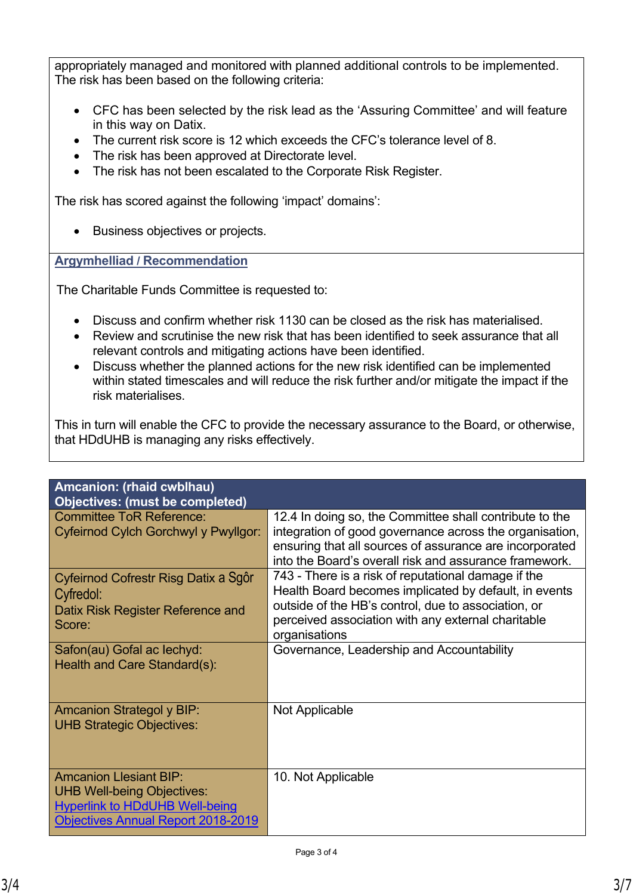appropriately managed and monitored with planned additional controls to be implemented. The risk has been based on the following criteria:

- CFC has been selected by the risk lead as the 'Assuring Committee' and will feature in this way on Datix.
- The current risk score is 12 which exceeds the CFC's tolerance level of 8.
- The risk has been approved at Directorate level.
- The risk has not been escalated to the Corporate Risk Register.

The risk has scored against the following 'impact' domains':

• Business objectives or projects.

**Argymhelliad / Recommendation**

The Charitable Funds Committee is requested to:

- Discuss and confirm whether risk 1130 can be closed as the risk has materialised.
- Review and scrutinise the new risk that has been identified to seek assurance that all relevant controls and mitigating actions have been identified.
- Discuss whether the planned actions for the new risk identified can be implemented within stated timescales and will reduce the risk further and/or mitigate the impact if the risk materialises.

This in turn will enable the CFC to provide the necessary assurance to the Board, or otherwise, that HDdUHB is managing any risks effectively.

| Amcanion: (rhaid cwblhau)<br><b>Objectives: (must be completed)</b> |                                                         |
|---------------------------------------------------------------------|---------------------------------------------------------|
|                                                                     |                                                         |
| <b>Committee ToR Reference:</b>                                     | 12.4 In doing so, the Committee shall contribute to the |
| Cyfeirnod Cylch Gorchwyl y Pwyllgor:                                | integration of good governance across the organisation, |
|                                                                     | ensuring that all sources of assurance are incorporated |
|                                                                     | into the Board's overall risk and assurance framework.  |
| Cyfeirnod Cofrestr Risg Datix a Sgôr                                | 743 - There is a risk of reputational damage if the     |
| Cyfredol:                                                           | Health Board becomes implicated by default, in events   |
| Datix Risk Register Reference and                                   | outside of the HB's control, due to association, or     |
| Score:                                                              | perceived association with any external charitable      |
|                                                                     | organisations                                           |
| Safon(au) Gofal ac lechyd:                                          | Governance, Leadership and Accountability               |
| Health and Care Standard(s):                                        |                                                         |
|                                                                     |                                                         |
|                                                                     |                                                         |
| <b>Amcanion Strategol y BIP:</b>                                    | Not Applicable                                          |
| <b>UHB Strategic Objectives:</b>                                    |                                                         |
|                                                                     |                                                         |
|                                                                     |                                                         |
|                                                                     |                                                         |
| <b>Amcanion Llesiant BIP:</b>                                       | 10. Not Applicable                                      |
| <b>UHB Well-being Objectives:</b>                                   |                                                         |
| <b>Hyperlink to HDdUHB Well-being</b>                               |                                                         |
| <b>Objectives Annual Report 2018-2019</b>                           |                                                         |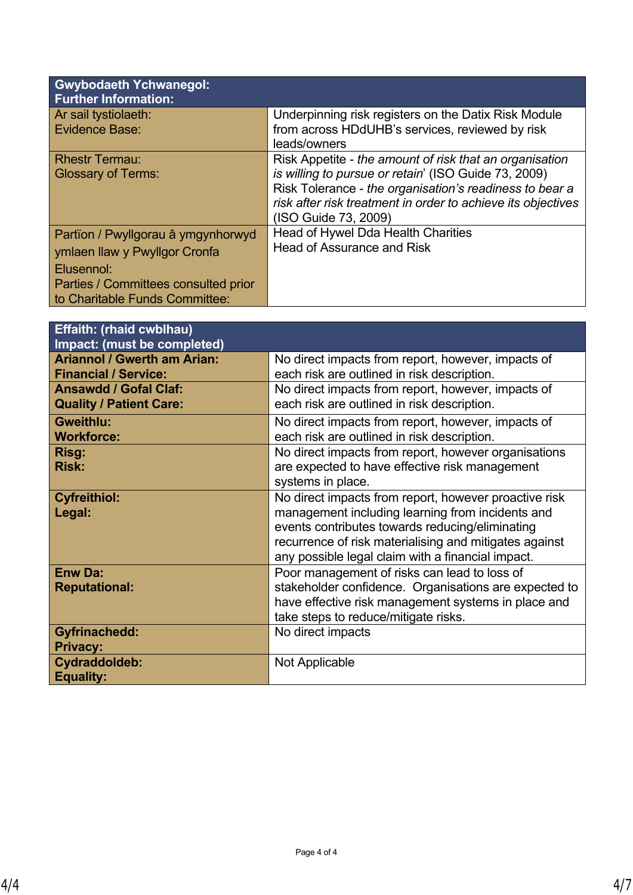| <b>Gwybodaeth Ychwanegol:</b><br><b>Further Information:</b>                                                                                                |                                                                                                                                                                                                                                                                    |
|-------------------------------------------------------------------------------------------------------------------------------------------------------------|--------------------------------------------------------------------------------------------------------------------------------------------------------------------------------------------------------------------------------------------------------------------|
| Ar sail tystiolaeth:<br>Evidence Base:                                                                                                                      | Underpinning risk registers on the Datix Risk Module<br>from across HDdUHB's services, reviewed by risk<br>leads/owners                                                                                                                                            |
| <b>Rhestr Termau:</b><br><b>Glossary of Terms:</b>                                                                                                          | Risk Appetite - the amount of risk that an organisation<br>is willing to pursue or retain' (ISO Guide 73, 2009)<br>Risk Tolerance - the organisation's readiness to bear a<br>risk after risk treatment in order to achieve its objectives<br>(ISO Guide 73, 2009) |
| Partïon / Pwyllgorau â ymgynhorwyd<br>ymlaen llaw y Pwyllgor Cronfa<br>Elusennol:<br>Parties / Committees consulted prior<br>to Charitable Funds Committee: | Head of Hywel Dda Health Charities<br><b>Head of Assurance and Risk</b>                                                                                                                                                                                            |

| <b>Effaith: (rhaid cwblhau)</b>    |                                                        |
|------------------------------------|--------------------------------------------------------|
| Impact: (must be completed)        |                                                        |
| <b>Ariannol / Gwerth am Arian:</b> | No direct impacts from report, however, impacts of     |
| <b>Financial / Service:</b>        | each risk are outlined in risk description.            |
| <b>Ansawdd / Gofal Claf:</b>       | No direct impacts from report, however, impacts of     |
| <b>Quality / Patient Care:</b>     | each risk are outlined in risk description.            |
| <b>Gweithlu:</b>                   | No direct impacts from report, however, impacts of     |
| <b>Workforce:</b>                  | each risk are outlined in risk description.            |
| Risg:                              | No direct impacts from report, however organisations   |
| <b>Risk:</b>                       | are expected to have effective risk management         |
|                                    | systems in place.                                      |
| <b>Cyfreithiol:</b>                | No direct impacts from report, however proactive risk  |
| Legal:                             | management including learning from incidents and       |
|                                    | events contributes towards reducing/eliminating        |
|                                    | recurrence of risk materialising and mitigates against |
|                                    | any possible legal claim with a financial impact.      |
| <b>Enw Da:</b>                     | Poor management of risks can lead to loss of           |
| <b>Reputational:</b>               | stakeholder confidence. Organisations are expected to  |
|                                    | have effective risk management systems in place and    |
|                                    | take steps to reduce/mitigate risks.                   |
| <b>Gyfrinachedd:</b>               | No direct impacts                                      |
| <b>Privacy:</b>                    |                                                        |
| Cydraddoldeb:                      | Not Applicable                                         |
| <b>Equality:</b>                   |                                                        |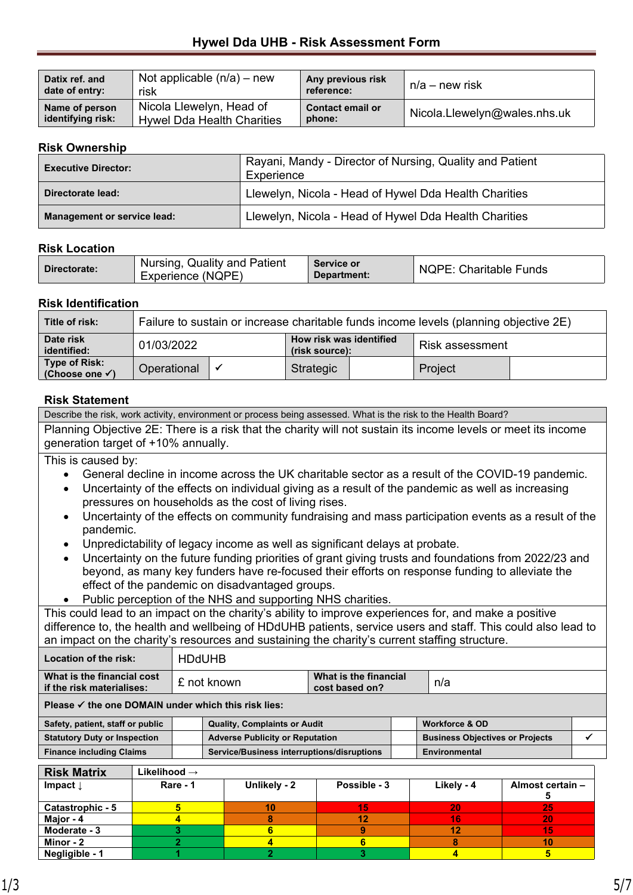## **Hywel Dda UHB - Risk Assessment Form**

| Datix ref. and    | Not applicable $(n/a)$ – new      | Any previous risk       | $n/a$ – new risk             |
|-------------------|-----------------------------------|-------------------------|------------------------------|
| date of entry:    | risk                              | reference:              |                              |
| Name of person    | Nicola Llewelyn, Head of          | <b>Contact email or</b> | Nicola.Llewelyn@wales.nhs.uk |
| identifying risk: | <b>Hywel Dda Health Charities</b> | phone:                  |                              |

### **Risk Ownership**

| <b>Executive Director:</b>         | Rayani, Mandy - Director of Nursing, Quality and Patient<br>Experience |
|------------------------------------|------------------------------------------------------------------------|
| Directorate lead:                  | Llewelyn, Nicola - Head of Hywel Dda Health Charities                  |
| <b>Management or service lead:</b> | Llewelyn, Nicola - Head of Hywel Dda Health Charities                  |

### **Risk Location**

| Directorate: | Nursing, Quality and Patient<br>Experience (NQPE) | <b>Service or</b><br>Department: | <b>NQPE: Charitable Funds</b> |
|--------------|---------------------------------------------------|----------------------------------|-------------------------------|
|--------------|---------------------------------------------------|----------------------------------|-------------------------------|

## **Risk Identification**

| Title of risk:                                     | Failure to sustain or increase charitable funds income levels (planning objective 2E) |  |           |  |                 |  |
|----------------------------------------------------|---------------------------------------------------------------------------------------|--|-----------|--|-----------------|--|
| Date risk<br>identified:                           | How risk was identified<br>01/03/2022<br>(risk source):                               |  |           |  | Risk assessment |  |
| <b>Type of Risk:</b><br>(Choose one $\checkmark$ ) | Operational                                                                           |  | Strategic |  | Project         |  |

Describe the risk, work activity, environment or process being assessed. What is the risk to the Health Board?

### **Risk Statement**

| Planning Objective 2E: There is a risk that the charity will not sustain its income levels or meet its income<br>generation target of +10% annually. |                                |                         |                                                                                                      |                                         |  |                                        |                  |   |
|------------------------------------------------------------------------------------------------------------------------------------------------------|--------------------------------|-------------------------|------------------------------------------------------------------------------------------------------|-----------------------------------------|--|----------------------------------------|------------------|---|
| This is caused by:                                                                                                                                   |                                |                         |                                                                                                      |                                         |  |                                        |                  |   |
|                                                                                                                                                      |                                |                         | General decline in income across the UK charitable sector as a result of the COVID-19 pandemic.      |                                         |  |                                        |                  |   |
|                                                                                                                                                      |                                |                         | Uncertainty of the effects on individual giving as a result of the pandemic as well as increasing    |                                         |  |                                        |                  |   |
|                                                                                                                                                      |                                |                         | pressures on households as the cost of living rises.                                                 |                                         |  |                                        |                  |   |
|                                                                                                                                                      |                                |                         | Uncertainty of the effects on community fundraising and mass participation events as a result of the |                                         |  |                                        |                  |   |
| pandemic.                                                                                                                                            |                                |                         |                                                                                                      |                                         |  |                                        |                  |   |
|                                                                                                                                                      |                                |                         | Unpredictability of legacy income as well as significant delays at probate.                          |                                         |  |                                        |                  |   |
| $\bullet$                                                                                                                                            |                                |                         | Uncertainty on the future funding priorities of grant giving trusts and foundations from 2022/23 and |                                         |  |                                        |                  |   |
|                                                                                                                                                      |                                |                         | beyond, as many key funders have re-focused their efforts on response funding to alleviate the       |                                         |  |                                        |                  |   |
|                                                                                                                                                      |                                |                         | effect of the pandemic on disadvantaged groups.                                                      |                                         |  |                                        |                  |   |
|                                                                                                                                                      |                                |                         | Public perception of the NHS and supporting NHS charities.                                           |                                         |  |                                        |                  |   |
| This could lead to an impact on the charity's ability to improve experiences for, and make a positive                                                |                                |                         |                                                                                                      |                                         |  |                                        |                  |   |
| difference to, the health and wellbeing of HDdUHB patients, service users and staff. This could also lead to                                         |                                |                         |                                                                                                      |                                         |  |                                        |                  |   |
| an impact on the charity's resources and sustaining the charity's current staffing structure.                                                        |                                |                         |                                                                                                      |                                         |  |                                        |                  |   |
| Location of the risk:                                                                                                                                |                                | <b>HDdUHB</b>           |                                                                                                      |                                         |  |                                        |                  |   |
| What is the financial cost<br>if the risk materialises:                                                                                              |                                | £ not known             |                                                                                                      | What is the financial<br>cost based on? |  | n/a                                    |                  |   |
| Please $\checkmark$ the one DOMAIN under which this risk lies:                                                                                       |                                |                         |                                                                                                      |                                         |  |                                        |                  |   |
|                                                                                                                                                      |                                |                         |                                                                                                      |                                         |  |                                        |                  |   |
| Safety, patient, staff or public                                                                                                                     |                                |                         | <b>Quality, Complaints or Audit</b>                                                                  |                                         |  | <b>Workforce &amp; OD</b>              |                  |   |
| <b>Statutory Duty or Inspection</b>                                                                                                                  |                                |                         | <b>Adverse Publicity or Reputation</b>                                                               |                                         |  | <b>Business Objectives or Projects</b> |                  | ✔ |
| <b>Finance including Claims</b>                                                                                                                      |                                |                         | Service/Business interruptions/disruptions                                                           |                                         |  | <b>Environmental</b>                   |                  |   |
| <b>Risk Matrix</b>                                                                                                                                   | Likelihood →                   |                         |                                                                                                      |                                         |  |                                        |                  |   |
| Impact $\downarrow$                                                                                                                                  |                                | Rare - 1                | Unlikely - 2                                                                                         | Possible - 3                            |  | Likely - 4                             | Almost certain - |   |
| Catastrophic - 5                                                                                                                                     | 5<br>5<br>15<br>20<br>25<br>10 |                         |                                                                                                      |                                         |  |                                        |                  |   |
| Major - 4                                                                                                                                            |                                | 4                       | 8                                                                                                    | 12                                      |  | 16                                     | 20               |   |
| Moderate - 3                                                                                                                                         |                                | 3                       | 6                                                                                                    | 9                                       |  | 12                                     | 15               |   |
| Minor - 2                                                                                                                                            |                                | $\overline{\mathbf{2}}$ | 4                                                                                                    | $6\phantom{a}$                          |  | 8                                      | 10               |   |
| Negligible - 1                                                                                                                                       |                                | 1                       | $\overline{2}$                                                                                       | 3                                       |  | 4                                      | 5                |   |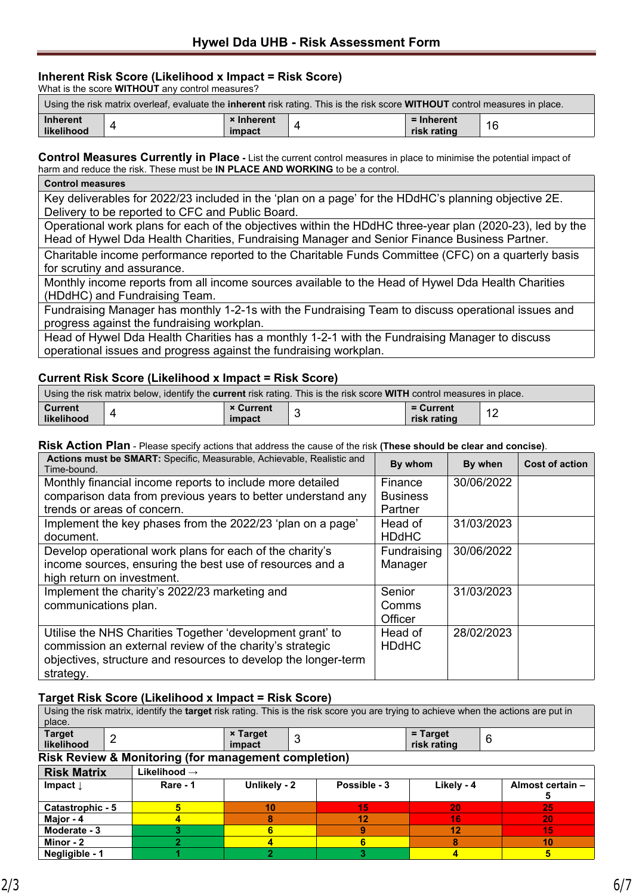### **Inherent Risk Score (Likelihood x Impact = Risk Score)**

What is the score **WITHOUT** any control measures?

| Using the risk matrix overleaf, evaluate the <b>inherent</b> risk rating. This is the risk score <b>WITHOUT</b> control measures in place. |  |                             |  |                           |    |
|--------------------------------------------------------------------------------------------------------------------------------------------|--|-----------------------------|--|---------------------------|----|
| Inherent<br><b>likelihood</b>                                                                                                              |  | <b>× Inherent</b><br>impact |  | = Inherent<br>risk rating | 16 |

**Control Measures Currently in Place** - List the current control measures in place to minimise the potential impact of harm and reduce the risk. These must be **IN PLACE AND WORKING** to be a control.

| <b>Control measures</b>                                                                                  |
|----------------------------------------------------------------------------------------------------------|
| Key deliverables for 2022/23 included in the 'plan on a page' for the HDdHC's planning objective 2E.     |
| Delivery to be reported to CFC and Public Board.                                                         |
| Operational work plans for each of the objectives within the HDdHC three-year plan (2020-23), led by the |
| Head of Hywel Dda Health Charities, Fundraising Manager and Senior Finance Business Partner.             |
| Charitable income performance reported to the Charitable Funds Committee (CFC) on a quarterly basis      |
| for scrutiny and assurance.                                                                              |
| Monthly income reports from all income sources available to the Head of Hywel Dda Health Charities       |
| (HDdHC) and Fundraising Team.                                                                            |
| Fundraising Manager has monthly 1-2-1s with the Fundraising Team to discuss operational issues and       |
| progress against the fundraising workplan.                                                               |

Head of Hywel Dda Health Charities has a monthly 1-2-1 with the Fundraising Manager to discuss operational issues and progress against the fundraising workplan.

### **Current Risk Score (Likelihood x Impact = Risk Score)**

| Using the risk matrix below, identify the <b>current</b> risk rating. This is the risk score WITH control measures in place. |  |                            |  |                          |  |  |
|------------------------------------------------------------------------------------------------------------------------------|--|----------------------------|--|--------------------------|--|--|
| <b>Current</b><br>likelihood                                                                                                 |  | <b>× Current</b><br>impact |  | = Current<br>risk rating |  |  |

#### **Risk Action Plan** - Please specify actions that address the cause of the risk **(These should be clear and concise)**.

| Actions must be SMART: Specific, Measurable, Achievable, Realistic and<br>Time-bound. | By whom         | By when    | <b>Cost of action</b> |
|---------------------------------------------------------------------------------------|-----------------|------------|-----------------------|
| Monthly financial income reports to include more detailed                             | Finance         | 30/06/2022 |                       |
| comparison data from previous years to better understand any                          | <b>Business</b> |            |                       |
| trends or areas of concern.                                                           | Partner         |            |                       |
| Implement the key phases from the 2022/23 'plan on a page'                            | Head of         | 31/03/2023 |                       |
| document.                                                                             | <b>HDdHC</b>    |            |                       |
| Develop operational work plans for each of the charity's                              | Fundraising     | 30/06/2022 |                       |
| income sources, ensuring the best use of resources and a                              | Manager         |            |                       |
| high return on investment.                                                            |                 |            |                       |
| Implement the charity's 2022/23 marketing and                                         | Senior          | 31/03/2023 |                       |
| communications plan.                                                                  | Comms           |            |                       |
|                                                                                       | Officer         |            |                       |
| Utilise the NHS Charities Together 'development grant' to                             | Head of         | 28/02/2023 |                       |
| commission an external review of the charity's strategic                              | <b>HDdHC</b>    |            |                       |
| objectives, structure and resources to develop the longer-term                        |                 |            |                       |
| strategy.                                                                             |                 |            |                       |

### **Target Risk Score (Likelihood x Impact = Risk Score)**

| Using the risk matrix, identify the <b>target</b> risk rating. This is the risk score you are trying to achieve when the actions are put in |   |          |                           |   |              |                              |  |                  |
|---------------------------------------------------------------------------------------------------------------------------------------------|---|----------|---------------------------|---|--------------|------------------------------|--|------------------|
| place.                                                                                                                                      |   |          |                           |   |              |                              |  |                  |
| <b>Target</b><br>likelihood                                                                                                                 | 2 |          | <b>× Target</b><br>impact | 3 |              | = Target<br>6<br>risk rating |  |                  |
| <b>Risk Review &amp; Monitoring (for management completion)</b>                                                                             |   |          |                           |   |              |                              |  |                  |
| <b>Risk Matrix</b><br>Likelihood $\rightarrow$                                                                                              |   |          |                           |   |              |                              |  |                  |
| Impact $\downarrow$                                                                                                                         |   | Rare - 1 | Unlikely - 2              |   | Possible - 3 | Likely - 4                   |  | Almost certain - |
|                                                                                                                                             |   |          |                           |   |              |                              |  |                  |
| Catastrophic - 5                                                                                                                            |   | 5        | 10                        |   | 15           | 20                           |  | 25               |
| Major - 4                                                                                                                                   |   |          | 8                         |   | 12           | 16                           |  | 20               |
| Moderate - 3                                                                                                                                |   | 3        |                           |   | 9            | 12                           |  | 15               |
| Minor - 2                                                                                                                                   |   |          |                           |   | 6            | 8                            |  | 10               |
| Negligible - 1                                                                                                                              |   |          | ≘                         |   | 3            | 4                            |  | 5                |